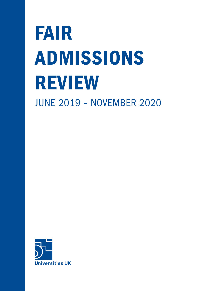# FAIR ADMISSIONS REVIEW JUNE 2019 – NOVEMBER 2020

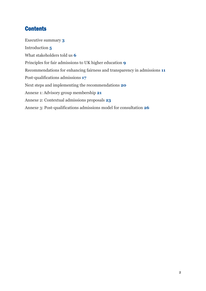# **Contents**

<span id="page-1-0"></span>[Executive summary](#page-1-0) **3** [Introduction](#page-4-0) **5** [What stakeholders told us](#page-6-0) **6** [Principles for fair admissions](#page-9-0) to UK higher education **9** [Recommendations for enhancing fairness and transparency in admissions](#page-11-0) **11** [Post-qualifications admissions](#page-17-0) **17** [Next steps and implementing the recommendations](#page-19-0) **20** [Annexe 1: Advisory group membership](#page-21-0) **21** [Annexe 2: Contextual admissions](#page-22-0) proposals **23** [Annexe 3: Post-qualifications admissions](#page-24-0) model for consultation **26**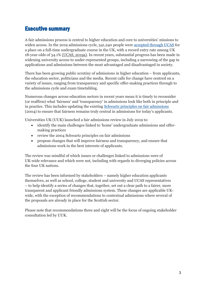## Executive summary

A fair admissions process is central to higher education and core to universities' missions to widen access. In the 2019 admissions cycle, 541,240 people were [accepted through UCAS](https://www.ucas.com/file/292736/download?token=xurFczbC) for a place on a full-time undergraduate course in the UK, with a record entry rate among UK 18-year-olds of 34.1% (UCAS, 2019a). In recent years, substantial progress has been made in widening university access to under-represented groups, including a narrowing of the gap in applications and admissions between the most advantaged and disadvantaged in society.

There has been growing public scrutiny of admissions in higher education – from applicants, the education sector, politicians and the media. Recent calls for change have centred on a variety of issues, ranging from transparency and specific offer-making practices through to the admissions cycle and exam timetabling.

Numerous changes across education sectors in recent years mean it is timely to reconsider (or reaffirm) what 'fairness' and 'transparency' in admissions look like both in principle and in practice. This includes updating the existing [Schwartz principles on fair admissions](https://dera.ioe.ac.uk/5284/1/finalreport.pdf) (2004) to ensure that fairness remains truly central in admissions for today's applicants.

Universities UK (UUK) launched a fair admissions review in July 2019 to:

- identify the main challenges linked to 'home' undergraduate admissions and offermaking practices
- review the 2004 Schwartz principles on fair admissions
- propose changes that will improve fairness and transparency, and ensure that admissions work in the best interests of applicants.

The review was mindful of which issues or challenges linked to admissions were of UK-wide relevance and which were not, including with regards to diverging policies across the four UK nations.

The review has been informed by stakeholders – namely higher education applicants themselves, as well as school, college, student and university and UCAS representatives – to help identify a series of changes that, together, set out a clear path to a fairer, more transparent and applicant friendly admissions system. These changes are applicable UKwide, with the exception of recommendations to contextual admissions where several of the proposals are already in place for the Scottish sector.

Please note that recommendations three and eight will be the focus of ongoing stakeholder consultation led by UUK.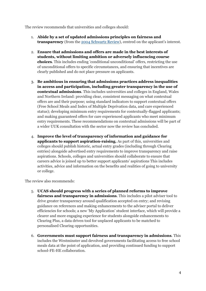The review recommends that universities and colleges should:

- 1. **Abide by a set of updated admissions principles on fairness and transparency** (from the [2004 Schwartz Review](https://www.ucas.com/file/233136/download?token=Scfuab79)), centred on the applicant's interest.
- 2. **Ensure that admissions and offers are made in the best interests of students, without limiting ambition or adversely influencing course choices**. This includes ending 'conditional unconditional' offers, restricting the use of unconditional offers to specific circumstances, and ensuring that incentives are clearly published and do not place pressure on applicants.
- 3. **Be ambitious in ensuring that admissions practices address inequalities in access and participation, including greater transparency in the use of contextual admissions**. This includes universities and colleges in England, Wales and Northern Ireland: providing clear, consistent messaging on what contextual offers are and their purpose; using standard indicators to support contextual offers (Free School Meals and Index of Multiple Deprivation data, and care experienced status); developing minimum entry requirements for contextually-flagged applicants; and making guaranteed offers for care experienced applicants who meet minimum entry requirements. These recommendations on contextual admissions will be part of a wider UUK consultation with the sector now the review has concluded.
- 4. **Improve the level of transparency of information and guidance for applicants to support aspiration-raising.** As part of this, universities and colleges should publish historic, actual entry grades (including through Clearing entries) alongside advertised entry requirements to improve transparency and raise aspirations. Schools, colleges and universities should collaborate to ensure that careers advice is joined up to better support applicants' aspirations This includes activities, advice and information on the benefits and realities of going to university or college.

The review also recommends:

- 5. **UCAS should progress with a series of planned reforms to improve fairness and transparency in admissions**. This includes a pilot adviser tool to drive greater transparency around qualification accepted on entry; and revising guidance on references and making enhancements to the adviser portal to deliver efficiencies for schools; a new 'My Application' student interface, which will provide a clearer and more engaging experience for students alongside enhancements to Clearing Plus, a data driven tool for unplaced applicants to be matched to personalised Clearing opportunities.
- 6. **Governments must support fairness and transparency in admissions**. This includes the Westminster and devolved governments facilitating access to free school meals data at the point of application, and providing continued funding to support school-FE-HE collaboration.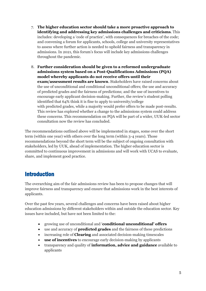- 7. **The higher education sector should take a more proactive approach to identifying and addressing key admissions challenges and criticisms**. This includes: developing a 'code of practice', with consequences for breaches of the code; and convening a forum for applicants, schools, college and university representatives to assess where further action is needed to uphold fairness and transparency in admissions. In 2021, this forum's focus will include key admissions challenges throughout the pandemic.
- 8. **Further consideration should be given to a reformed undergraduate admissions system based on a Post-Qualifications Admissions (PQA) model whereby applicants do not receive offers until their exam/assessment results are known**. Stakeholders have raised concerns about the use of unconditional and conditional unconditional offers; the use and accuracy of predicted grades and the fairness of predictions; and the use of incentives to encourage early applicant decision-making. Further, the review's student polling identified that 64% think it is fine to apply to university/college with predicted grades, while a majority would prefer offers to be made post-results. This review has explored whether a change to the admissions system could address these concerns. This recommendation on PQA will be part of a wider, UUK-led sector consultation now the review has concluded.

The recommendations outlined above will be implemented in stages, some over the short term (within one year) with others over the long term (within 3-4 years). Those recommendations beyond the short term will be the subject of ongoing consultation with stakeholders, led by UUK, ahead of implementation. The higher education sector is committed to continuous improvement in admissions and will work with UCAS to evaluate, share, and implement good practice.

## <span id="page-4-0"></span>Introduction

The overarching aim of the fair admissions review has been to propose changes that will improve fairness and transparency and ensure that admissions work in the best interests of applicants.

Over the past few years, several challenges and concerns have been raised about higher education admissions by different stakeholders within and outside the education sector. Key issues have included, but have not been limited to the:

- growing use of unconditional and '**conditional unconditional' offers**
- use and accuracy of **predicted grades** and the fairness of these predictions
- increasing role of **Clearing** and associated decision-making timescales
- **use of incentives** to encourage early decision-making by applicants
- transparency and quality of **information, advice and guidance** available to applicants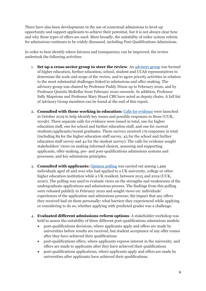There have also been developments in the use of contextual admissions to level-up opportunity and support applicants to achieve their potential, but it is not always clear how and why these types of offers are used. More broadly, the suitability of wider system reform for admissions continues to be widely discussed, including Post-Qualifications Admissions.

In order to best identify where fairness and transparency can be improved, the review undertook the following activities:

- 1. **Set up a cross-sector group to steer the review**: An [advisory group](https://www.universitiesuk.ac.uk/news/Pages/Major-review-of-university-admissions-underway.aspx) was formed of higher education, further education, school, student and UCAS representatives to determine the scale and scope of the review, and to agree priority activities in relation to the most substantial challenges linked to admissions and offer-making. The advisory group was chaired by Professor Paddy Nixon up to February 2020, and by Professor Quintin McKellar from February 2020 onwards. In addition, Professor Sally Mapstone and Professor Mary Stuart CBE have acted as deputy chairs. A full list of Advisory Group members can be found at the end of this report.
- 2. **Consulted with those working in education:** [Calls for evidence](https://www.universitiesuk.ac.uk/policy-and-analysis/Pages/fair-admissions-review.aspx) were launched in October 2019 to help identify key issues and possible responses to these (UUK, 2019b). Three separate calls for evidence were issued in total, one for higher education staff, one for school and further education staff, and one for current students/applicants/recent graduates. These surveys received 179 responses in total (including 89 for the higher education staff survey, 43 for the school and further education staff survey and 42 for the student survey). The calls for evidence sought stakeholders' views on making informed choices, assessing and supporting applicants, offer-making, pre- and post-qualifications admissions systems and processes, and key admissions principles.
- 3. **Consulted with applicants:** [Opinion polling](https://www.universitiesuk.ac.uk/news/Pages/Filling-careers-advice-gaps-would-make-university-applications-fairer.aspx) was carried out among 1,499 individuals aged 18 and over who had applied to a UK university, college or other higher education institution while a UK resident, between 2015 and 2019 (UUK, 2020). The polling was used to evaluate views on the strengths and weaknesses of the undergraduate applications and admissions process. The findings from this polling were released publicly in February 2020 and sought views on: individuals' experiences of the application and admissions process; the impact that any offers they received had on them personally; what barriers they experienced while applying or considering to do so; whether applying with predicted grades was a challenge.
- 4. **Evaluated different admissions reform options**: A stakeholder workshop was held to assess the suitability of three different post-qualifications admissions models:
	- post-qualifications decisions, where applicants apply and offers are made by universities before results are received, but student acceptance of any offer comes after they have achieved their qualifications
	- post-qualifications offers, where applicants express interest in the university, and offers are made to applicants after they have achieved their qualifications
	- post-qualifications applications, where applicants apply and offers are made by universities after applicants have achieved their qualifications.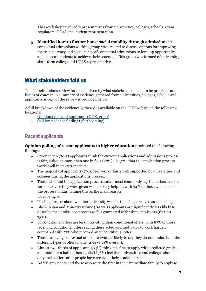This workshop involved representatives from universities, colleges, schools, exam regulators, UCAS and student representation.

5. **Identified how to further boost social mobility through admissions**: A contextual admissions working group was created to discuss options for improving the transparency and consistency of contextual admissions to level up opportunity and support students to achieve their potential. This group was formed of university, sixth-form college and UCAS representatives.

## <span id="page-6-0"></span>What stakeholders told us

The fair admissions review has been driven by what stakeholders deem to be priorities and issues of concern. A summary of evidence gathered from universities, colleges, schools and applicants as part of the review is provided below.

A full breakdown of the evidence gathered is available on the UUK website in the following locations:

- [Opinion polling of applicants](https://www.universitiesuk.ac.uk/news/Pages/Filling-careers-advice-gaps-would-make-university-applications-fairer.aspx) (UUK, 2020)
- Call for evidence findings (forthcoming)

### Recent applicants

**Opinion polling of recent applicants to higher education** produced the following findings:

- Seven in ten (70%) applicants think the current applications and admissions process is fair, although more than one in four (28%) disagree that the application process works well in its current state.
- The majority of applicants (79%) feel very or fairly well supported by universities and colleges during the applications process.
- Those who find the application process unfair most commonly say this is because the careers advice they were given was not very helpful, with 34% of those who labelled the process unfair naming this as the main reason for it being so.
- 'Feeling unsure about whether university was for them' is perceived as a challenge.
- Black, Asian and Minority Ethnic (BAME) applicants are significantly less likely to describe the admissions process as fair compared with white applicants (62% vs 73%).
- Unconditional offers are less motivating than conditional offers, with 87% of those receiving conditional offers saying these acted as a motivator to work harder, compared with 77% who received an unconditional offer.
- Those receiving contextual offers are twice as likely to say they do not understand the different types of offers made (27% vs 13% overall).
- Almost two-thirds of applicants (64%) think it is fine to apply with predicted grades, and more than half of those polled (56%) feel that universities and colleges should only make offers after people have received their academic results.
- BAME applicants and those who were the first in their immediate family to apply to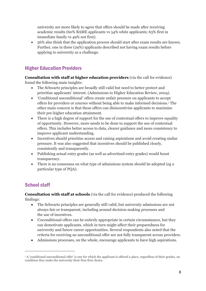university are more likely to agree that offers should be made after receiving academic results (60% BAME applicants vs 54% white applicants; 63% first in immediate family vs 49% not first).

• 56% also think that the application process should start after exam results are known. Further, one in three (29%) applicants described not having exam results before applying to university as a challenge.

## Higher Education Providers

**Consultation with staff at higher education providers** (via the call for evidence) found the following main insights:

- The Schwartz principles are broadly still valid but need to better protect and prioritise applicants' interest. (Admissions to Higher Education Review, 2004).
- 'Conditional unconditional' offers create unfair pressure on applicants to accept offers for providers or courses without being able to make informed decisions.<sup>1</sup> The other main concern is that these offers can disincentivise applicants to maximise their pre-higher education attainment.
- There is a high degree of support for the use of contextual offers to improve equality of opportunity. However, more needs to be done to support the use of contextual offers. This includes better access to data, clearer guidance and more consistency to improve applicant understanding.
- Incentives should prioritise access and raising aspirations and avoid creating undue pressure. It was also suggested that incentives should be published clearly, consistently and transparently.
- Publishing actual entry grades (as well as advertised entry grades) would boost transparency.
- There is no consensus on what type of admissions system should be adopted (eg a particular type of PQA).

## School staff

**Consultation with staff at schools** (via the call for evidence) produced the following findings:

- The Schwartz principles are generally still valid, but university admissions are not always fair or transparent, including around decision-making processes and the use of incentives.
- Unconditional offers can be entirely appropriate in certain circumstances, but they can demotivate applicants, which in turn might affect their preparedness for university and future career opportunities. Several respondents also noted that the criteria for receiving an unconditional offer are not fully transparent across providers.
- Admissions processes, on the whole, encourage applicants to have high aspirations.

<sup>&</sup>lt;sup>1</sup> A 'conditional unconditional offer' is one for which the applicant is offered a place, regardless of their grades, on condition they make the university their firm first choice.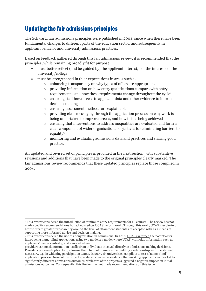# Updating the fair admissions principles

The Schwartz fair admissions principles were published in 2004, since when there have been fundamental changes to different parts of the education sector, and subsequently in applicant behavior and university admissions practices.

Based on feedback gathered through this fair admissions review, it is recommended that the principles, while remaining broadly fit for purpose:

- must better reflect (and be guided by) the applicant interest, not the interests of the university/college
- must be strengthened in their expectations in areas such as:
	- o enhancing transparency on why types of offers are appropriate
	- o providing information on how entry qualifications compare with entry requirements, and how these requirements change throughout the cycle<sup>2</sup>
	- o ensuring staff have access to applicant data and other evidence to inform decision-making
	- o ensuring assessment methods are explainable
	- o providing clear messaging through the application process on why work is being undertaken to improve access, and how this is being achieved
	- o ensuring that interventions to address inequalities are evaluated and form a clear component of wider organisational objectives for eliminating barriers to equality<sup>3</sup>
	- o monitoring and evaluating admissions data and practices and sharing good practice.

An updated and revised set of principles is provided in the next section, with substantive revisions and additions that have been made to the original principles clearly marked. The fair admissions review recommends that these updated principles replace those compiled in 2004.

<sup>2</sup> This review considered the introduction of minimum entry requirements for all courses. The review has not made specific recommendations but acknowledges UCAS' reform work. Through this work, UCAS is exploring how to create greater transparency around the level of attainment students are accepted with as a means of supporting more informed advice and decision making.

<sup>3</sup> This review considered the use of anonymisation in admissions. In 2016[, UCAS examined](https://www.ucas.com/file/74801/download?token=M80wi05k) the potential for introducing name-blind applications using two models: a model where UCAS withholds information such as applicants' names centrally; and a model where

providers can mask information locally from individuals involved directly in admissions making decisions. Providers preferred option two, allowing them to mask names while building a relationship with the student if necessary, e.g. in widening participation teams. In 2017[, six universities ran pilots](https://www.ucas.com/corporate/news-and-key-documents/news/update-ucas-report-minimising-risks-unconscious-bias-admissions) to test a 'name-blind' application process. None of the projects produced conclusive evidence that masking applicants' names led to significantly different admissions outcomes, while two of the projects suggested a negative impact on initial admissions outcomes. Consequently, this Review has not made recommendations on this issue.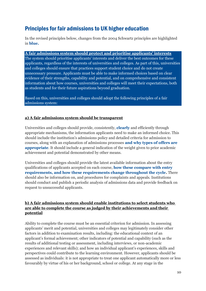# <span id="page-9-0"></span>Principles for fair admissions to UK higher education

In the revised principles below, changes from the 2004 Schwartz principles are highlighted in **blue.**

**A fair admissions system should protect and prioritise applicants' interests** The system should prioritise applicants' interests and deliver the best outcomes for these applicants, regardless of the interests of universities and colleges. As part of this, universities and colleges should ensure that practices support student choice and do not create unnecessary pressure. Applicants must be able to make informed choices based on clear evidence of their strengths, capability and potential, and on comprehensive and consistent information about how courses, universities and colleges will meet their expectations, both as students and for their future aspirations beyond graduation.

Based on this, universities and colleges should adopt the following principles of a fair admissions system:

#### **a) A fair admissions system should be transparent**

Universities and colleges should provide, consistently, **clearly** and efficiently through appropriate mechanisms, the information applicants need to make an informed choice. This should include the institution's admissions policy and detailed criteria for admission to courses, along with an explanation of admissions processes **and why types of offers are appropriate**. It should include a general indication of the weight given to prior academic achievement and potential demonstrated by other means.

Universities and colleges should provide the latest available information about the entry qualifications of applicants accepted on each course, **how these compare with entry requirements, and how these requirements change throughout the cycle.** There should also be information on, and procedures for complaints and appeals. Institutions should conduct and publish a periodic analysis of admissions data and provide feedback on request to unsuccessful applicants.

#### **b) A fair admissions system should enable institutions to select students who are able to complete the course as judged by their achievements and their potential**

Ability to complete the course must be an essential criterion for admission. In assessing applicants' merit and potential, universities and colleges may legitimately consider other factors in addition to examination results, including: the educational context of an applicant's formal achievement; other indicators of potential and capability (such as the results of additional testing or assessment, including interviews, or non-academic experiences and relevant skills); and how an individual applicant's experiences, skills and perspectives could contribute to the learning environment. However, applicants should be assessed as individuals: it is not appropriate to treat one applicant automatically more or less favourably by virtue of his or her background, school or college. At any stage in the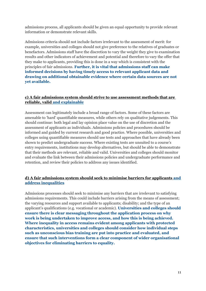admissions process, all applicants should be given an equal opportunity to provide relevant information or demonstrate relevant skills.

Admissions criteria should not include factors irrelevant to the assessment of merit: for example, universities and colleges should not give preference to the relatives of graduates or benefactors. Admissions staff have the discretion to vary the weight they give to examination results and other indicators of achievement and potential and therefore to vary the offer that they make to applicants, providing this is done in a way which is consistent with the principles of fair admissions. **Further, it is vital that admissions staff can make informed decisions by having timely access to relevant applicant data and drawing on additional obtainable evidence where certain data sources are not yet available.**

#### **c) A fair admissions system should strive to use assessment methods that are reliable, valid and explainable**

Assessment can legitimately include a broad range of factors. Some of these factors are amenable to 'hard' quantifiable measures, while others rely on qualitative judgements. This should continue: both legal and lay opinion place value on the use of discretion and the assessment of applicants as individuals. Admissions policies and procedures should be informed and guided by current research and good practice. Where possible, universities and colleges using quantifiable measures should use tests and approaches that have already been shown to predict undergraduate success. Where existing tests are unsuited to a course's entry requirements, institutions may develop alternatives, but should be able to demonstrate that their methods are relevant, reliable and valid. Universities and colleges should monitor and evaluate the link between their admissions policies and undergraduate performance and retention, and review their policies to address any issues identified.

#### **d) A fair admissions system should seek to minimise barriers for applicants and address inequalities**

Admissions processes should seek to minimise any barriers that are irrelevant to satisfying admissions requirements. This could include barriers arising from the means of assessment; the varying resources and support available to applicants; disability; and the type of an applicant's qualifications (e.g. vocational or academic). **Universities and colleges should ensure there is clear messaging throughout the application process on why work is being undertaken to improve access, and how this is being achieved. Where inequality in access remains evident among applicants with protected characteristics, universities and colleges should consider how individual steps such as unconscious bias training are put into practice and evaluated, and ensure that such interventions form a clear component of wider organisational objectives for eliminating barriers to equality.**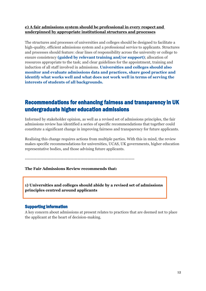#### **e) A fair admissions system should be professional in every respect and underpinned by appropriate institutional structures and processes**

The structures and processes of universities and colleges should be designed to facilitate a high-quality, efficient admissions system and a professional service to applicants. Structures and processes should feature: clear lines of responsibility across the university or college to ensure consistency **(guided by relevant training and/or support)**; allocation of resources appropriate to the task; and clear guidelines for the appointment, training and induction of all staff involved in admissions. **Universities and colleges should also monitor and evaluate admissions data and practices, share good practice and identify what works well and what does not work well in terms of serving the interests of students of all backgrounds.**

## Recommendations for enhancing fairness and transparency in UK undergraduate higher education admissions

Informed by stakeholder opinion, as well as a revised set of admissions principles, the fair admissions review has identified a series of specific recommendations that together could constitute a significant change in improving fairness and transparency for future applicants.

Realising this change requires actions from multiple parties. With this in mind, the review makes specific recommendations for universities, UCAS, UK governments, higher education representative bodies, and those advising future applicants.

-----------------------------------------------------------------------------

<span id="page-11-0"></span>**The Fair Admissions Review recommends that:**

**1) Universities and colleges should abide by a revised set of admissions principles centred around applicants**

#### Supporting information

A key concern about admissions at present relates to practices that are deemed not to place the applicant at the heart of decision-making.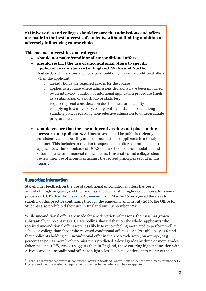**2) Universities and colleges should ensure that admissions and offers are made in the best interests of students, without limiting ambition or adversely influencing course choices**

#### **This means universities and colleges:**

- **should not make 'conditional' unconditional offers**
- **should restrict the use of unconditional offers to specific applicant circumstances (in England, Wales and Northern Ireland).<sup>4</sup>** Universities and colleges should only make unconditional offers when the applicant:
	- o already holds the required grades for the course
	- o applies to a course where admissions decisions have been informed by an interview, audition or additional application procedure (such as a submission of a portfolio or skills test)
	- o requires special consideration due to illness or disability
	- o is applying to a university/college with an established and longstanding policy regarding non-selective admission to undergraduate programmes.
- **should ensure that the use of incentives does not place undue pressure on applicants.** All incentives should be published clearly, consistently and accessibly and communicated to applicants in a timely manner. This includes in relation to aspects of an offer communicated to applicants within or outside of UCAS that are tied to accommodation and other material and financial inducements. Universities and colleges should review their use of incentives against the revised principles set out in this report.

#### Supporting information

Stakeholder feedback on the use of conditional unconditional offers has been overwhelmingly negative, and their use has affected trust in higher education admissions processes. UUK's [Fair Admissions Agreement](https://www.universitiesuk.ac.uk/covid19/admissions/Pages/Ensuring-a-fair-admissions-process.aspx) from May 2020 recognised the risks to stability of this practice continuing through the pandemic and, in July 2020, the Office for Students also prohibited their use in England until September 2021.

While unconditional offers are made for a wide variety of reasons, their use has grown substantially in recent years. UUK's polling showed that, on the whole, applicants who received unconditional offers were less likely to report feeling motivated to perform well at school or college than those who received conditional offers. UCAS (2019b) [analysis](https://www.ucas.com/file/292731/download?token=mvFM1ghk) found that applicants holding an unconditional offer in the 2019 cycle were, on average, 11.5 percentage points more likely to miss their predicted A-level grades by three or more grades. Other [evidence](https://www.officeforstudents.org.uk/news-blog-and-events/press-and-media/lower-a-level-grades-from-unconditional-offers-lead-to-higher-dropout-rates-warns-regulator/#:~:text=Updated%20analysis%20from%20the%20Office,not%20in%20their%20best%20interests.&text=Today) (OfS, 2020a) suggests that, in England, those entering higher education with A-levels and an unconditional offer are slightly less likely to continue into year 2 of their

<sup>4</sup> There is a different context to unconditional offers in Scotland, where many students have already attained SQA Highers and met the academic requirements to enter higher education before applying.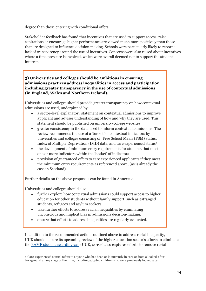degree than those entering with conditional offers.

Stakeholder feedback has found that incentives that are used to support access, raise aspirations or encourage higher performance are viewed much more positively than those that are designed to influence decision making. Schools were particularly likely to report a lack of transparency around the use of incentives. Concerns were also raised about incentives where a time pressure is involved, which were overall deemed not to support the student interest.

#### **3) Universities and colleges should be ambitious in ensuring admissions practices address inequalities in access and participation including greater transparency in the use of contextual admissions (in England, Wales and Northern Ireland).**

Universities and colleges should provide greater transparency on how contextual admissions are used, underpinned by:

- a sector-level explanatory statement on contextual admissions to improve applicant and adviser understanding of how and why they are used. This statement should be published on university/college websites
- greater consistency in the data used to inform contextual admissions. The review recommends the use of a 'basket' of contextual indicators by universities and colleges consisting of: Free School Meals (FSM) status, Index of Multiple Deprivation (IMD) data, and care experienced status<sup>5</sup>
- the development of minimum entry requirements for students that meet one or more indicators within the 'basket' of indicators
- provision of guaranteed offers to care experienced applicants if they meet the minimum entry requirements as referenced above, (as is already the case in Scotland).

Further details on the above proposals can be found in Annexe 2.

Universities and colleges should also:

- further explore how contextual admissions could support access to higher education for other students without family support, such as estranged students, refugees and asylum seekers.
- take further efforts to address racial inequalities by eliminating unconscious and implicit bias in admissions decision-making.
- ensure that efforts to address inequalities are regularly evaluated.

In addition to the recommended actions outlined above to address racial inequality, UUK should ensure its upcoming review of the higher education sector's efforts to eliminate the [BAME student awarding gap](https://www.universitiesuk.ac.uk/policy-and-analysis/reports/Documents/2019/bame-student-attainment-uk-universities-closing-the-gap.pdf) (UUK, 2019c) also captures efforts to remove racial

<sup>5</sup> 'Care-experienced status' refers to anyone who has been or is currently in care or from a looked-after background at any stage of their life, including adopted children who were previously looked after.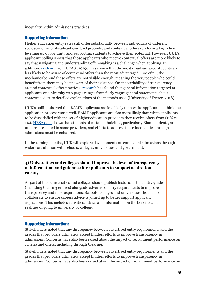inequality within admissions practices.

#### Supporting information

Higher education entry rates still differ substantially between individuals of different socioeconomic or disadvantaged backgrounds, and contextual offers can form a key role in levelling up opportunity and supporting students to achieve their potential. However, UUK's applicant polling shows that those applicants who receive contextual offers are more likely to say that navigating and understanding offer-making is a challenge when applying. In addition, [evidence](https://www.ucas.com/file/286346/download?token=DookHVk1) from UCAS (2019c) has shown that the most disadvantaged students are less likely to be aware of contextual offers than the most advantaged. Too often, the mechanics behind these offers are not visible enough, meaning the very people who could benefit from them may be unaware of their existence. On the variability of transparency around contextual offer practices, [research](https://static1.squarespace.com/static/543e665de4b0fbb2b140b291/t/5b4457fb70a6ade52de65f16/1531205646268/Research+into+the+use+of+contextualised+admissions_University+of+Exeter+report.pdf) has found that general information targeted at applicants on university web pages ranges from fairly vague general statements about contextual data to detailed explanations of the methods used (University of Exeter, 2018).

UUK's polling showed that BAME applicants are less likely than white applicants to think the application process works well. BAME applicants are also more likely than white applicants to be dissatisfied with the set of higher education providers they receive offers from (11% vs 1%). [HESA data](https://www.hesa.ac.uk/data-and-analysis/students/where-study/characteristics) shows that students of certain ethnicities, particularly Black students, are underrepresented in some providers, and efforts to address these inequalities through admissions must be enhanced.

In the coming months, UUK will explore developments on contextual admissions through wider consultation with schools, colleges, universities and government.

**4) Universities and colleges should improve the level of transparency of information and guidance for applicants to support aspirationraising** 

As part of this, universities and colleges should publish historic, actual entry grades (including Clearing entries) alongside advertised entry requirements to improve transparency and raise aspirations. Schools, colleges and universities should also collaborate to ensure careers advice is joined up to better support applicant aspirations. This includes activities, advice and information on the benefits and realities of going to university or college.

#### Supporting information:

Stakeholders noted that any discrepancy between advertised entry requirements and the grades that providers ultimately accept hinders efforts to improve transparency in admissions. Concerns have also been raised about the impact of recruitment performance on criteria and offers, including through Clearing.

Stakeholders noted that any discrepancy between advertised entry requirements and the grades that providers ultimately accept hinders efforts to improve transparency in admissions. Concerns have also been raised about the impact of recruitment performance on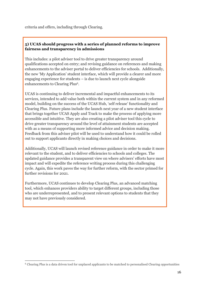criteria and offers, including through Clearing.

#### **5) UCAS should progress with a series of planned reforms to improve fairness and transparency in admissions**

This includes: a pilot adviser tool to drive greater transparency around qualifications accepted on entry; and revising guidance on references and making enhancements to the adviser portal to deliver efficiencies for schools. Additionally, the new 'My Application' student interface, which will provide a clearer and more engaging experience for students – is due to launch next cycle alongside enhancements to Clearing Plus<sup>6</sup>.

UCAS is continuing to deliver incremental and impactful enhancements to its services, intended to add value both within the current system and in any reformed model, building on the success of the UCAS Hub, 'self release' functionality and Clearing Plus. Future plans include the launch next year of a new student interface that brings together UCAS Apply and Track to make the process of applying more accessible and intuitive. They are also creating a pilot adviser tool this cycle to drive greater transparency around the level of attainment students are accepted with as a means of supporting more informed advice and decision making. Feedback from this adviser pilot will be used to understand how it could be rolled out to support applicants directly in making choices and decisions.

Additionally, UCAS will launch revised reference guidance in order to make it more relevant to the student, and to deliver efficiencies to schools and colleges. The updated guidance provides a transparent view on where advisers' efforts have most impact and will expedite the reference writing process during this challenging cycle. Again, this work paves the way for further reform, with the sector primed for further revisions for 2021.

Furthermore, UCAS continues to develop Clearing Plus, an advanced matching tool, which enhances providers ability to target different groups, including those who are underrepresented, and to present relevant options to students that they may not have previously considered.

<sup>6</sup> Clearing Plus is a data driven tool for unplaced applicants to be matched to personalised Clearing opportunities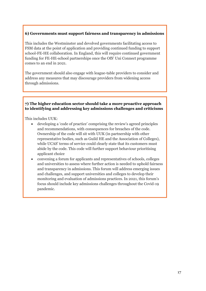#### **6) Governments must support fairness and transparency in admissions**

This includes the Westminster and devolved governments facilitating access to FSM data at the point of application and providing continued funding to support school-FE-HE collaboration. In England, this will require continued government funding for FE-HE-school partnerships once the OfS' Uni Connect programme comes to an end in 2021.

The government should also engage with league-table providers to consider and address any measures that may discourage providers from widening access through admissions.

#### **7) The higher education sector should take a more proactive approach to identifying and addressing key admissions challenges and criticisms**

This includes UUK:

- developing a 'code of practice' comprising the review's agreed principles and recommendations, with consequences for breaches of the code. Ownership of the code will sit with UUK (in partnership with other representative bodies, such as Guild HE and the Association of Colleges), while UCAS' terms of service could clearly state that its customers must abide by the code. This code will further support behaviour prioritising applicant choice
- convening a forum for applicants and representatives of schools, colleges and universities to assess where further action is needed to uphold fairness and transparency in admissions. This forum will address emerging issues and challenges, and support universities and colleges to develop their monitoring and evaluation of admissions practices. In 2021, this forum's focus should include key admissions challenges throughout the Covid-19 pandemic.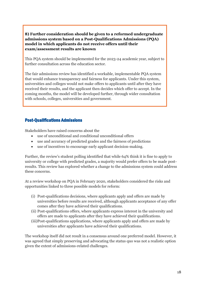**8) Further consideration should be given to a reformed undergraduate admissions system based on a Post-Qualifications Admissions (PQA) model in which applicants do not receive offers until their exam/assessment results are known**

This PQA system should be implemented for the 2023-24 academic year, subject to further consultation across the education sector.

The fair admissions review has identified a workable, implementable PQA system that would enhance transparency and fairness for applicants. Under this system, universities and colleges would not make offers to applicants until after they have received their results, and the applicant then decides which offer to accept. In the coming months, the model will be developed further, through wider consultation with schools, colleges, universities and government.

#### <span id="page-17-0"></span>Post-Qualifications Admissions

Stakeholders have raised concerns about the

- use of unconditional and conditional unconditional offers
- use and accuracy of predicted grades and the fairness of predictions
- use of incentives to encourage early applicant decision-making.

Further, the review's student polling identified that while 64% think it is fine to apply to university or college with predicted grades, a majority would prefer offers to be made postresults. This review has explored whether a change to the admissions system could address these concerns.

At a review workshop on PQA in February 2020, stakeholders considered the risks and opportunities linked to three possible models for reform:

- (i) Post-qualifications decisions, where applicants apply and offers are made by universities before results are received, although applicants acceptance of any offer comes after they have achieved their qualifications.
- (ii) Post-qualifications offers, where applicants express interest in the university and offers are made to applicants after they have achieved their qualifications.
- (iii)Post-qualifications applications, where applicants apply and offers are made by universities after applicants have achieved their qualifications.

The workshop itself did not result in a consensus around one preferred model. However, it was agreed that simply preserving and advocating the status quo was not a realistic option given the extent of admissions-related challenges.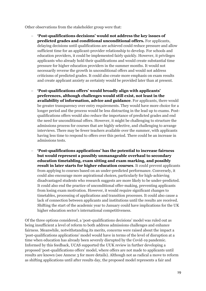Other observations from the stakeholder group were that:

- − **'Post-qualifications decisions' would not address the key issues of predicted grades and conditional unconditional offers.** For applicants, delaying decisions until qualifications are achieved could reduce pressure and allow sufficient time for an applicant-provider relationship to develop. For schools and education providers, it could be implemented fairly quickly. However, it privileges applicants who already hold their qualifications and would create substantial time pressure for higher education providers in the summer months. It would not necessarily reverse the growth in unconditional offers and would not address criticisms of predicted grades. It could also create more emphasis on exam results and create applicant anxiety as certainty would be provided later than at present.
- − **'Post-qualifications offers' would broadly align with applicants' preferences, although challenges would still exist, not least in the availability of information, advice and guidance**. For applicants, there would be greater transparency over entry requirements. They would have more choice for a longer period and the process would be less distracting in the lead up to exams. Postqualifications offers would also reduce the importance of predicted grades and end the need for unconditional offers. However, it might be challenging to structure the admissions process for courses that are highly selective, and challenging to arrange interviews. There may be fewer teachers available over the summer, with applicants having less time to respond to offers over this period. There could be an increase in admissions tests.
- − **'Post-qualifications applications' has the potential to increase fairness but would represent a possibly unmanageable overhaul to secondary education timetabling, exam sitting and exam marking, and possibly result in later starts for higher education courses**. It could prevent applicants from applying to courses based on an under-predicted performance. Conversely, it could also encourage more aspirational choices, particularly for high-achieving disadvantaged students who research suggests are more likely to be under-predicted. It could also end the practice of unconditional offer-making, preventing applicants from losing exam motivation. However, it would require significant changes to timetables, processing of applications and transition processes. It could also cause a lack of connection between applicants and institutions until the results are received. Shifting the start of the academic year to January could have implications for the UK higher education sector's international competitiveness.

Of the three options considered, a 'post-qualifications decisions' model was ruled out as being insufficient a level of reform to both address admissions challenges and enhance fairness. Meanwhile, notwithstanding its merits, concerns were raised about the impact a 'post-qualifications applications' model would have in terms of the level of disruption at a time when education has already been severely disrupted by the Covid-19 pandemic. Informed by this feedback, UCAS supported the UUK review in further developing a proposed 'post-qualifications offers' model, where offers are not made to applicants until results are known (see Annexe 3 for more details). Although not as radical a move to reform as shifting applications until after results day, the proposed model represents a fair and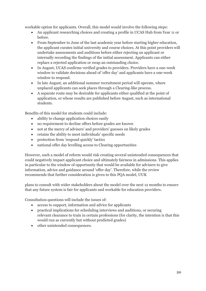workable option for applicants. Overall, this model would involve the following steps:

- An applicant researching choices and creating a profile in UCAS Hub from Year 11 or before.
- From September to June of the last academic year before starting higher education, the applicant curates initial university and course choices. At this point providers will undertake assessments and auditions before either rejecting an applicant or internally recording the findings of the initial assessment. Applicants can either replace a rejected application or swap an outstanding choice.
- In August, UCAS confirms verified grades to providers. Providers have a one-week window to validate decisions ahead of 'offer day' and applicants have a one-week window to respond.
- In late August, an additional summer recruitment period will operate, where unplaced applicants can seek places through a Clearing-like process.
- A separate route may be desirable for applicants either qualified at the point of application, or whose results are published before August, such as international students.

Benefits of this model for students could include:

- ability to change application choices easily
- no requirement to decline offers before grades are known
- not at the mercy of advisers' and providers' guesses on likely grades
- retains the ability to meet individuals' specific needs
- protection from 'respond quickly' tactics
- national offer day levelling access to Clearing opportunities

However, such a model of reform would risk creating several unintended consequences that could negatively impact applicant choice and ultimately fairness in admissions. This applies in particular to the window of opportunity that would be available for advisers to give information, advice and guidance around 'offer day'. Therefore, while the review recommends that further consideration is given to this PQA model, UUK

plans to consult with wider stakeholders about the model over the next 12 months to ensure that any future system is fair for applicants and workable for education providers.

Consultation questions will include the issues of:

- access to support, information and advice for applicants
- practical implications for scheduling interviews and auditions, or securing relevant clearance to train in certain professions (for clarity, the intention is that this would run as currently but without predicted grades)
- <span id="page-19-0"></span>• other unintended consequences.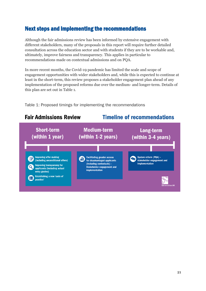# Next steps and implementing the recommendations

Although the fair admissions review has been informed by extensive engagement with different stakeholders, many of the proposals in this report will require further detailed consultation across the education sector and with students if they are to be workable and, ultimately, improve fairness and transparency. This applies in particular to recommendations made on contextual admissions and on PQA.

In more recent months, the Covid-19 pandemic has limited the scale and scope of engagement opportunities with wider stakeholders and, while this is expected to continue at least in the short-term, this review proposes a stakeholder engagement plan ahead of any implementation of the proposed reforms due over the medium- and longer-term. Details of this plan are set out in Table 1.

Table 1: Proposed timings for implementing the recommendations

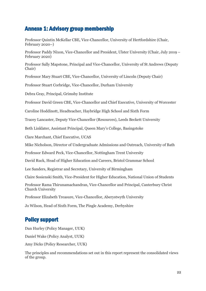## <span id="page-21-0"></span>Annexe 1: Advisory group membership

Professor Quintin McKellar CBE, Vice-Chancellor, University of Hertfordshire (Chair, February 2020–)

Professor Paddy Nixon, Vice-Chancellor and President, Ulster University (Chair, July 2019 – February 2020)

Professor Sally Mapstone, Principal and Vice-Chancellor, University of St Andrews (Deputy Chair)

Professor Mary Stuart CBE, Vice-Chancellor, University of Lincoln (Deputy Chair)

Professor Stuart Corbridge, Vice-Chancellor, Durham University

Debra Gray, Principal, Grimsby Institute

Professor David Green CBE, Vice-Chancellor and Chief Executive, University of Worcester

Caroline Hoddinott, Headteacher, Haybridge High School and Sixth Form

Tracey Lancaster, Deputy Vice-Chancellor (Resources), Leeds Beckett University

Beth Linklater, Assistant Principal, Queen Mary's College, Basingstoke

Clare Marchant, Chief Executive, UCAS

Mike Nicholson, Director of Undergraduate Admissions and Outreach, University of Bath

Professor Edward Peck, Vice-Chancellor, Nottingham Trent University

David Ruck, Head of Higher Education and Careers, Bristol Grammar School

Lee Sanders, Registrar and Secretary, University of Birmingham

Claire Sosienski Smith, Vice-President for Higher Education, National Union of Students

Professor Rama Thirunamachandran, Vice-Chancellor and Principal, Canterbury Christ Church University

Professor Elizabeth Treasure, Vice-Chancellor, Aberystwyth University

Jo Wilson, Head of Sixth Form, The Pingle Academy, Derbyshire

## Policy support

Dan Hurley (Policy Manager, UUK) Daniel Wake (Policy Analyst, UUK) Amy Dicks (Policy Researcher, UUK)

The principles and recommendations set out in this report represent the consolidated views of the group.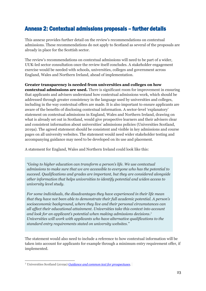# <span id="page-22-0"></span>Annexe 2: Contextual admissions proposals – further details

This annexe provides further detail on the review's recommendations on contextual admissions. These recommendations do not apply to Scotland as several of the proposals are already in place for the Scottish sector.

The review's recommendations on contextual admissions will need to be part of a wider, UUK-led sector consultation once the review itself concludes. A stakeholder engagement exercise would be needed with schools, universities, colleges and government across England, Wales and Northern Ireland, ahead of implementation.

**Greater transparency is needed from universities and colleges on how contextual admissions are used.** There is significant room for improvement in ensuring that applicants and advisers understand how contextual admissions work, which should be addressed through greater consistency in the language used by universities and colleges, including in the way contextual offers are made. It is also important to ensure applicants are aware of the benefits of disclosing contextual information. A sector-level 'explanatory' statement on contextual admissions in England, Wales and Northern Ireland, drawing on what is already set out in Scotland, would give prospective learners and their advisers clear and consistent information about universities' admissions policies (Universities Scotland, 2019a). The agreed statement should be consistent and visible in key admissions and course pages on all university websites. The statement would need wider stakeholder testing and accompanying guidance may need to be developed on its use and placement.

A statement for England, Wales and Northern Ireland could look like this:

*"Going to higher education can transform a person's life. We use contextual admissions to make sure that we are accessible to everyone who has the potential to succeed. Qualifications and grades are important, but they are considered alongside other information that helps universities to identify potential and widen access to university level study.*

*For some individuals, the disadvantages they have experienced in their life mean that they have not been able to demonstrate their full academic potential. A person's socioeconomic background, where they live and their personal circumstances can all affect their educational attainment. Universities take this context into account and look for an applicant's potential when making admissions decisions. 7 Universities will work with applicants who have alternative qualifications to the standard entry requirements stated on university websites.''*

The statement would also need to include a reference to how contextual information will be taken into account for applicants for example through a minimum entry requirement offer, if implemented.

<sup>7</sup> Universities Scotland (2019a) *[Guidance and common text for prospectuses.](http://www.gov.scot/binaries/content/documents/govscot/publications/minutes/2019/06/access-delivery-group-meeting-february-2019/documents/paper-6-4-guidance-and-common-text-for-2020-prospectuses/paper-6-4-guidance-and-common-text-for-2020-prospectuses/govscot%3Adocument/Paper%2B6.4%2B-%2BGuidance%2Band%2Bcommon%2Btext%2Bfor%2B2020%2Bprospectuses.pdf)*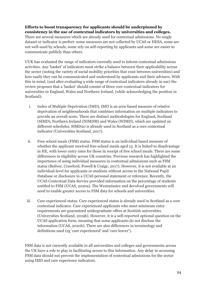#### **Efforts to boost transparency for applicants should be underpinned by consistency in the use of contextual indicators by universities and colleges.**

There are several measures which are already used for contextual admissions. No single dataset or indicator is perfect: some measures are not collected by UCAS or HESA, some are not well-used by schools, some rely on self-reporting by applicants and some are easier to communicate publicly than others.

UUK has evaluated the range of indicators currently used to inform contextual admissions activities. Any 'basket' of indicators must strike a balance between their applicability across the sector (noting the variety of social mobility priorities that exist between universities) and how easily they can be communicated and understood by applicants and their advisers. With this in mind, (and after evaluating a wide range of contextual indicators already in use) the review proposes that a 'basket' should consist of three core contextual indicators for universities in England, Wales and Northern Ireland, (while acknowledging the position in Scotland):

- i. Index of Multiple Deprivation (IMD). IMD is an area-based measure of relative deprivation of neighbourhoods that combines information on multiple indicators to provide an overall score. There are distinct methodologies for England, Scotland (SIMD), Northern Ireland (NIMDM) and Wales (WIMD), which are updated on different schedules. SIMD20 is already used in Scotland as a core contextual indicator (Universities Scotland, 2017).
- ii. Free school meals (FSM) status. FSM status is an individual based measure of whether the applicant received free-school meals aged 15. It is linked to disadvantage in HE, with lower entry rates for those in receipt of free school meals. There are some differences in eligibility across UK countries. Previous research has highlighted the importance of using individual measures in contextual admissions such as FSM status (Boliver, Crawford, Powell & Craige, 2017). However, it is not available at an individual-level for applicants or students without access to the National Pupil Database or disclosure in a UCAS personal statement or reference. Recently, the UCAS Contextual Data Service provided information on the percentage of students entitled to FSM (UCAS, 2020a). The Westminster and devolved governments will need to enable greater access to FSM data for schools and universities.
- iii. Care experienced status. Care experienced status is already used in Scotland as a core contextual indicator. Care experienced applicants who meet minimum entry requirements are guaranteed undergraduate offers at Scottish universities (Universities Scotland, 2019b). However, it is a self-reported optional question on the UCAS application form, meaning that some applicants do not disclose the information (UCAS, 2020b). There are also differences in terminology and definitions used (eg 'care experienced' and 'care leaver').

FSM data is not currently available to all universities and colleges and governments across the UK have a role to play in facilitating access to this information. Any delay in accessing FSM data should not prevent the implementation of contextual admissions for the sector using IMD and care experience indicators.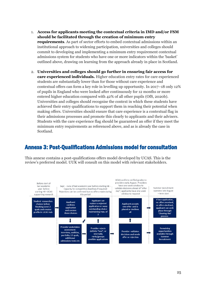- 1. **Access for applicants meeting the contextual criteria in IMD and/or FSM should be facilitated through the creation of minimum entry requirements**. As part of sector efforts to embed contextual admissions within an institutional approach to widening participation, universities and colleges should commit to developing and implementing a minimum entry requirement contextual admissions system for students who have one or more indicators within the 'basket' outlined above, drawing on learning from the approach already in place in Scotland.
- 2. **Universities and colleges should go further in ensuring fair access for care experienced individuals.** Higher education entry rates for care experienced students are substantially lower than for those without care experience and contextual offers can form a key role in levelling up opportunity. In 2017–18 only 12% of pupils in England who were looked after continuously for 12 months or more entered higher education compared with 42% of all other pupils (OfS, 2020b). Universities and colleges should recognise the context in which these students have achieved their entry qualifications to support them in reaching their potential when making offers. Universities should ensure that care experience is a contextual flag in their admissions processes and promote this clearly to applicants and their advisers. Students with the care experience flag should be guaranteed an offer if they meet the minimum entry requirements as referenced above, and as is already the case in Scotland.

## <span id="page-24-0"></span>Annexe 3: Post-Qualifications Admissions model for consultation

This annexe contains a post-qualifications offers model developed by UCAS. This is the review's preferred model. UUK will consult on this model with relevant stakeholders.

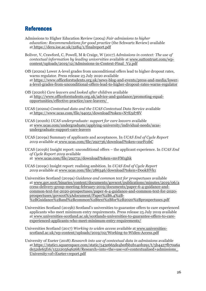## References

- Admissions to Higher Education Review (2004) *Fair admissions to higher education: Recommendations for good practice* (the Schwartz Review) available at <https://dera.ioe.ac.uk/5284/1/finalreport.pdf>
- Boliver, V, Crawford, C, Powell, M & Craige, W (2017) *Admissions in context: The use of contextual information by leading universities* available at [www.suttontrust.com/wp](http://www.suttontrust.com/wp-content/uploads/2019/12/Admissions-in-Context-Final_V2.pdf)[content/uploads/2019/12/Admissions-in-Context-Final\\_V2.pdf](http://www.suttontrust.com/wp-content/uploads/2019/12/Admissions-in-Context-Final_V2.pdf)
- OfS (2020a) Lower A-level grades from unconditional offers lead to higher dropout rates, warns regulator. Press release 23 July 2020 available at [https://www.officeforstudents.org.uk/news-blog-and-events/press-and-media/lower](https://www.officeforstudents.org.uk/news-blog-and-events/press-and-media/lower-a-level-grades-from-unconditional-offers-lead-to-higher-dropout-rates-warns-regulator)[a-level-grades-from-unconditional-offers-lead-to-higher-dropout-rates-warns-regulator](https://www.officeforstudents.org.uk/news-blog-and-events/press-and-media/lower-a-level-grades-from-unconditional-offers-lead-to-higher-dropout-rates-warns-regulator)
- OfS (2020b) *Care leavers and looked after children* available at [http://www.officeforstudents.org.uk/advice-and-guidance/promoting-equal](http://www.officeforstudents.org.uk/advice-and-guidance/promoting-equal-opportunities/effective-practice/care-leavers/)[opportunities/effective-practice/care-leavers/](http://www.officeforstudents.org.uk/advice-and-guidance/promoting-equal-opportunities/effective-practice/care-leavers/)
- UCAS (2020a) *Contextual data and the UCAS Contextual Data Service* available at <https://www.ucas.com/file/94051/download?token=N7E5d78V>
- UCAS (2020b) *UCAS undergraduate: support for care leavers* available at www.ucas.com/undergraduate/applying-university/individual-needs/ucasundergraduate-support-care-leavers
- UCAS (2019a) Summary of applicants and acceptances. In *UCAS End of Cycle Report 2019* available at [www.ucas.com/file/292736/download?token=xurFczbC](http://www.ucas.com/file/292736/download?token=xurFczbC)
- UCAS (2019b) Insight report: unconditional offers the applicant experience. In *UCAS End of Cycle Report 2019* available at [www.ucas.com/file/292731/download?token=mvFM1ghk](http://www.ucas.com/file/292731/download?token=mvFM1ghk)
- UCAS (2019c) Insight report: realising ambition. In *UCAS End of Cycle Report 2019* available at [www.ucas.com/file/286346/download?token=DookHVk1](http://www.ucas.com/file/286346/download?token=DookHVk1)
- Universities Scotland (2019a) *Guidance and common text for prospectuses* available at [www.gov.scot/binaries/content/documents/govscot/publications/minutes/2019/06/a](http://www.gov.scot/binaries/content/documents/govscot/publications/minutes/2019/06/access-delivery-group-meeting-february-2019/documents/paper-6-4-guidance-and-common-text-for-2020-prospectuses/paper-6-4-guidance-and-common-text-for-2020-prospectuses/govscot%3Adocument/Paper%2B6.4%2B-%2BGuidance%2Band%2Bcommon%2Btext%2Bfor%2B2020%2Bprospectuses.pdf) [ccess-delivery-group-meeting-february-2019/documents/paper-6-4-guidance-and](http://www.gov.scot/binaries/content/documents/govscot/publications/minutes/2019/06/access-delivery-group-meeting-february-2019/documents/paper-6-4-guidance-and-common-text-for-2020-prospectuses/paper-6-4-guidance-and-common-text-for-2020-prospectuses/govscot%3Adocument/Paper%2B6.4%2B-%2BGuidance%2Band%2Bcommon%2Btext%2Bfor%2B2020%2Bprospectuses.pdf)[common-text-for-2020-prospectuses/paper-6-4-guidance-and-common-text-for-2020](http://www.gov.scot/binaries/content/documents/govscot/publications/minutes/2019/06/access-delivery-group-meeting-february-2019/documents/paper-6-4-guidance-and-common-text-for-2020-prospectuses/paper-6-4-guidance-and-common-text-for-2020-prospectuses/govscot%3Adocument/Paper%2B6.4%2B-%2BGuidance%2Band%2Bcommon%2Btext%2Bfor%2B2020%2Bprospectuses.pdf) [prospectuses/govscot%3Adocument/Paper%2B6.4%2B-](http://www.gov.scot/binaries/content/documents/govscot/publications/minutes/2019/06/access-delivery-group-meeting-february-2019/documents/paper-6-4-guidance-and-common-text-for-2020-prospectuses/paper-6-4-guidance-and-common-text-for-2020-prospectuses/govscot%3Adocument/Paper%2B6.4%2B-%2BGuidance%2Band%2Bcommon%2Btext%2Bfor%2B2020%2Bprospectuses.pdf) [%2BGuidance%2Band%2Bcommon%2Btext%2Bfor%2B2020%2Bprospectuses.pdf](http://www.gov.scot/binaries/content/documents/govscot/publications/minutes/2019/06/access-delivery-group-meeting-february-2019/documents/paper-6-4-guidance-and-common-text-for-2020-prospectuses/paper-6-4-guidance-and-common-text-for-2020-prospectuses/govscot%3Adocument/Paper%2B6.4%2B-%2BGuidance%2Band%2Bcommon%2Btext%2Bfor%2B2020%2Bprospectuses.pdf)
- Universities Scotland (2019b) Scotland's universities to guarantee offers to care experienced applicants who meet minimum entry requirements. Press release 25 July 2019 available at www.universities-scotland.ac.uk/scotlands-universities-to-guarantee-offers-to-careexperienced-applicants-who-meet-minimum-entry-requirements/
- Universities Scotland (2017) *Working to widen access* available at www.universitiesscotland.ac.uk/wp-content/uploads/2019/02/Working-to-Widen-Access.pdf
- University of Exeter (2018) *Research into use of contextual data in admissions* available at [https://static1.squarespace.com/static/543e665de4b0fbb2b140b291/t/5b4457fb70a6a](https://static1.squarespace.com/static/543e665de4b0fbb2b140b291/t/5b4457fb70a6ade52de65f16/1531205646268/Research+into+the+use+of+contextualised+admissions_University+of+Exeter+report.pdf) [de52de65f16/1531205646268/Research+into+the+use+of+contextualised+admissions\\_](https://static1.squarespace.com/static/543e665de4b0fbb2b140b291/t/5b4457fb70a6ade52de65f16/1531205646268/Research+into+the+use+of+contextualised+admissions_University+of+Exeter+report.pdf) [University+of+Exeter+report.pdf](https://static1.squarespace.com/static/543e665de4b0fbb2b140b291/t/5b4457fb70a6ade52de65f16/1531205646268/Research+into+the+use+of+contextualised+admissions_University+of+Exeter+report.pdf)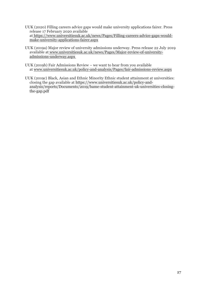- UUK (2020) Filling careers advice gaps would make university applications fairer. Press release 17 February 2020 available at [https://www.universitiesuk.ac.uk/news/Pages/Filling-careers-advice-gaps-would](https://www.universitiesuk.ac.uk/news/Pages/Filling-careers-advice-gaps-would-make-university-applications-fairer.aspx)[make-university-applications-fairer.aspx](https://www.universitiesuk.ac.uk/news/Pages/Filling-careers-advice-gaps-would-make-university-applications-fairer.aspx)
- UUK (2019a) Major review of university admissions underway. Press release 22 July 2019 available at [www.universitiesuk.ac.uk/news/Pages/Major-review-of-university](https://www.universitiesuk.ac.uk/news/Pages/Major-review-of-university-admissions-underway.aspx)[admissions-underway.aspx](https://www.universitiesuk.ac.uk/news/Pages/Major-review-of-university-admissions-underway.aspx)
- UUK (2019b) Fair Admissions Review we want to hear from you available at [www.universitiesuk.ac.uk/policy-and-analysis/Pages/fair-admissions-review.aspx](http://www.universitiesuk.ac.uk/policy-and-analysis/Pages/fair-admissions-review.aspx)
- UUK (2019c) Black, Asian and Ethnic Minority Ethnic student attainment at universities: closing the gap available at https://www.universitiesuk.ac.uk/policy-andanalysis/reports/Documents/2019/bame-student-attainment-uk-universities-closingthe-gap.pdf